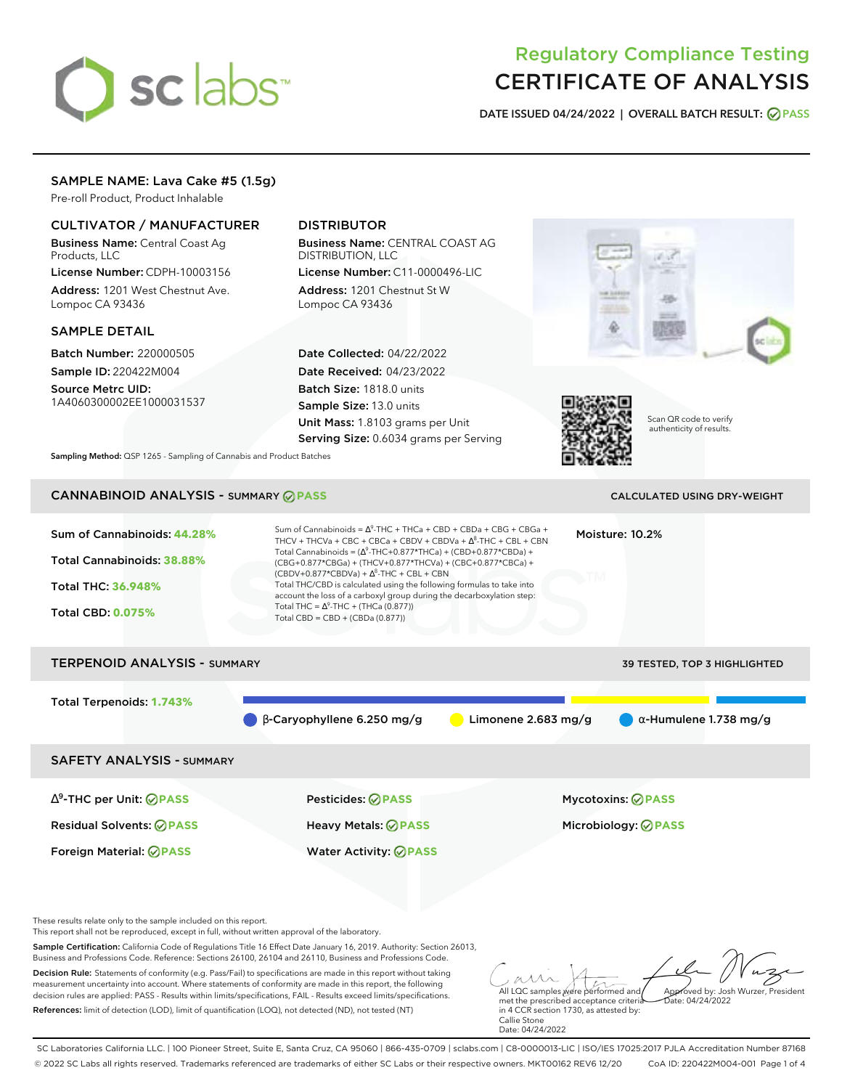# sclabs<sup>\*</sup>

# Regulatory Compliance Testing CERTIFICATE OF ANALYSIS

**DATE ISSUED 04/24/2022 | OVERALL BATCH RESULT: PASS**

# SAMPLE NAME: Lava Cake #5 (1.5g)

Pre-roll Product, Product Inhalable

# CULTIVATOR / MANUFACTURER

Business Name: Central Coast Ag Products, LLC

License Number: CDPH-10003156 Address: 1201 West Chestnut Ave. Lompoc CA 93436

# SAMPLE DETAIL

Batch Number: 220000505 Sample ID: 220422M004 Source Metrc UID: 1A4060300002EE1000031537

# DISTRIBUTOR

Business Name: CENTRAL COAST AG DISTRIBUTION, LLC License Number: C11-0000496-LIC

Address: 1201 Chestnut St W Lompoc CA 93436

Date Collected: 04/22/2022 Date Received: 04/23/2022 Batch Size: 1818.0 units Sample Size: 13.0 units Unit Mass: 1.8103 grams per Unit Serving Size: 0.6034 grams per Serving





Scan QR code to verify authenticity of results.

**Sampling Method:** QSP 1265 - Sampling of Cannabis and Product Batches

# CANNABINOID ANALYSIS - SUMMARY **PASS** CALCULATED USING DRY-WEIGHT

| Sum of Cannabinoids: 44.28%<br>Total Cannabinoids: 38.88%<br><b>Total THC: 36.948%</b><br><b>Total CBD: 0.075%</b> | Sum of Cannabinoids = $\Delta^9$ -THC + THCa + CBD + CBDa + CBG + CBGa +<br>THCV + THCVa + CBC + CBCa + CBDV + CBDVa + $\Delta^8$ -THC + CBL + CBN<br>Total Cannabinoids = $(\Delta^9$ -THC+0.877*THCa) + (CBD+0.877*CBDa) +<br>(CBG+0.877*CBGa) + (THCV+0.877*THCVa) + (CBC+0.877*CBCa) +<br>$(CBDV+0.877*CBDVa) + \Delta^8$ -THC + CBL + CBN<br>Total THC/CBD is calculated using the following formulas to take into<br>account the loss of a carboxyl group during the decarboxylation step:<br>Total THC = $\Delta^9$ -THC + (THCa (0.877))<br>Total CBD = $CBD + (CBDa (0.877))$ |                       | Moisture: 10.2%               |  |
|--------------------------------------------------------------------------------------------------------------------|----------------------------------------------------------------------------------------------------------------------------------------------------------------------------------------------------------------------------------------------------------------------------------------------------------------------------------------------------------------------------------------------------------------------------------------------------------------------------------------------------------------------------------------------------------------------------------------|-----------------------|-------------------------------|--|
| <b>TERPENOID ANALYSIS - SUMMARY</b>                                                                                |                                                                                                                                                                                                                                                                                                                                                                                                                                                                                                                                                                                        |                       | 39 TESTED, TOP 3 HIGHLIGHTED  |  |
| Total Terpenoids: 1.743%                                                                                           | $\beta$ -Caryophyllene 6.250 mg/g                                                                                                                                                                                                                                                                                                                                                                                                                                                                                                                                                      | Limonene $2.683$ mg/g | $\alpha$ -Humulene 1.738 mg/g |  |
| <b>SAFETY ANALYSIS - SUMMARY</b>                                                                                   |                                                                                                                                                                                                                                                                                                                                                                                                                                                                                                                                                                                        |                       |                               |  |
| $\Delta^9$ -THC per Unit: $\oslash$ PASS                                                                           | Pesticides: ⊘PASS                                                                                                                                                                                                                                                                                                                                                                                                                                                                                                                                                                      |                       | Mycotoxins: ⊘PASS             |  |
| <b>Residual Solvents: ⊘PASS</b>                                                                                    | <b>Heavy Metals: ⊘ PASS</b>                                                                                                                                                                                                                                                                                                                                                                                                                                                                                                                                                            |                       | Microbiology: @PASS           |  |

These results relate only to the sample included on this report.

This report shall not be reproduced, except in full, without written approval of the laboratory.

Sample Certification: California Code of Regulations Title 16 Effect Date January 16, 2019. Authority: Section 26013, Business and Professions Code. Reference: Sections 26100, 26104 and 26110, Business and Professions Code.

Decision Rule: Statements of conformity (e.g. Pass/Fail) to specifications are made in this report without taking measurement uncertainty into account. Where statements of conformity are made in this report, the following decision rules are applied: PASS - Results within limits/specifications, FAIL - Results exceed limits/specifications. References: limit of detection (LOD), limit of quantification (LOQ), not detected (ND), not tested (NT)

Foreign Material: **PASS** Water Activity: **PASS**

All LQC samples were performed and Approved by: Josh Wurzer, President Date: 04/24/2022

met the prescribed acceptance criteria in 4 CCR section 1730, as attested by: Callie Stone Date: 04/24/2022

SC Laboratories California LLC. | 100 Pioneer Street, Suite E, Santa Cruz, CA 95060 | 866-435-0709 | sclabs.com | C8-0000013-LIC | ISO/IES 17025:2017 PJLA Accreditation Number 87168 © 2022 SC Labs all rights reserved. Trademarks referenced are trademarks of either SC Labs or their respective owners. MKT00162 REV6 12/20 CoA ID: 220422M004-001 Page 1 of 4